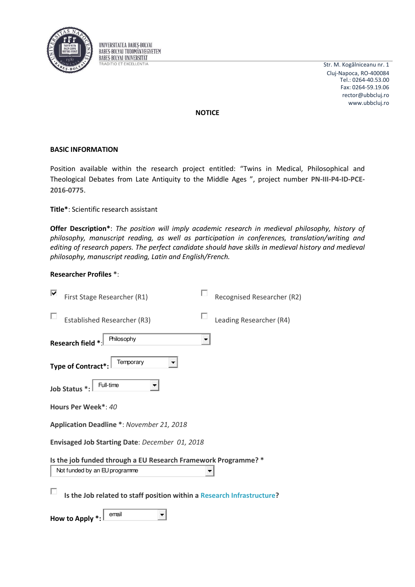

UNIVERSITATEA BABES-BOLYAI **BABES-BOLYAI TUDOMÁNYEGYETEM BABES-BOLYAI UNIVERSITÄT TRADITIO ET EXCELLENTIA** 

Str. M. Kogălniceanu nr. 1 Cluj-Napoca, RO-400084 Tel.: 0264-40.53.00 Fax: 0264-59.19.06 rector@ubbcluj.ro www.ubbcluj.ro

**NOTICE** 

## **BASIC INFORMATION**

Position available within the research project entitled: "Twins in Medical, Philosophical and Theological Debates from Late Antiquity to the Middle Ages ", project number PN-III-P4-ID-PCE-2016-0775.

Title\*: Scientific research assistant

Offer Description\*: The position will imply academic research in medieval philosophy, history of philosophy, manuscript reading, as well as participation in conferences, translation/writing and editing of research papers. The perfect candidate should have skills in medieval history and medieval philosophy, manuscript reading, Latin and English/French.

## **Researcher Profiles \*:**

| ⊽<br>First Stage Researcher (R1)                                       |  | Recognised Researcher (R2) |  |  |  |
|------------------------------------------------------------------------|--|----------------------------|--|--|--|
| <b>Established Researcher (R3)</b>                                     |  | Leading Researcher (R4)    |  |  |  |
| Philosophy<br>Research field *                                         |  |                            |  |  |  |
| Temporary<br><b>Type of Contract*</b>                                  |  |                            |  |  |  |
| Full-time<br>Job Status *:                                             |  |                            |  |  |  |
| Hours Per Week*: 40                                                    |  |                            |  |  |  |
| Application Deadline *: November 21, 2018                              |  |                            |  |  |  |
| Envisaged Job Starting Date: December 01, 2018                         |  |                            |  |  |  |
| Is the job funded through a EU Research Framework Programme? *         |  |                            |  |  |  |
| Not funded by an EU programme                                          |  |                            |  |  |  |
| Is the Job related to staff position within a Research Infrastructure? |  |                            |  |  |  |
| email<br><b>How to Apply</b>                                           |  |                            |  |  |  |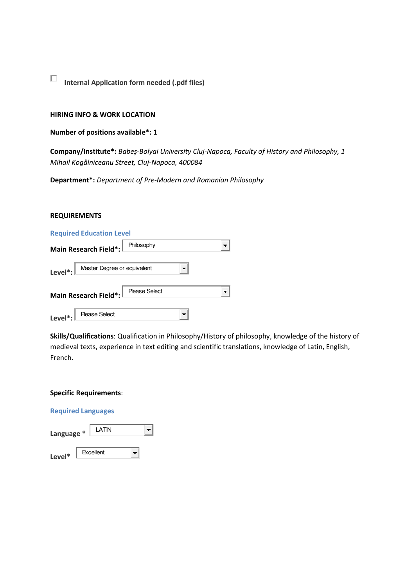**Internal Application form needed (.pdf files)** 

### **HIRING INFO & WORK LOCATION**

## **Number of positions available\*: 1**

**Company/Institute\*:** *Babeş-Bolyai University Cluj-Napoca, Faculty of History and Philosophy, 1 Mihail Kogălniceanu Street, Cluj-Napoca, 400084* 

**Department\*:** *Department of Pre-Modern and Romanian Philosophy* 

#### **REQUIREMENTS**

|              | <b>Required Education Level</b>                  |  |
|--------------|--------------------------------------------------|--|
|              | Philosophy<br>Main Research Field*:              |  |
|              | Level <sup>*</sup> : Master Degree or equivalent |  |
|              | Main Research Field*:   Please Select            |  |
| Level $^*$ : | <b>Please Select</b>                             |  |

**Skills/Qualifications**: Qualification in Philosophy/History of philosophy, knowledge of the history of medieval texts, experience in text editing and scientific translations, knowledge of Latin, English, French.

# **Specific Requirements**:

# **Required Languages**

| Language * | LATIN     |  |
|------------|-----------|--|
| Level*     | Excellent |  |

 $\Box$